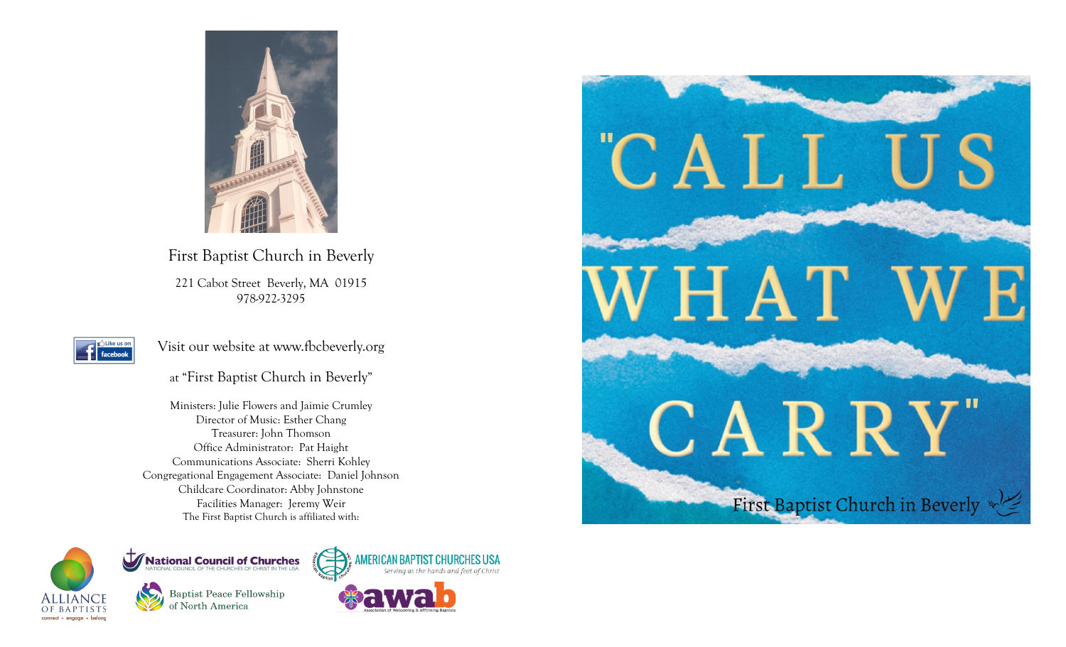

First Baptist Church in Beverly 221 Cabot Street Beverly, MA 01915 978-922-3295



Visit our website at www.fbcbeverly.org

at "First Baptist Church in Beverly"

Ministers: Julie Flowers and Jaimie Crumley Director of Music: Esther Chang Treasurer: John Thomson Office Administrator: Pat Haight Communications Associate: Sherri Kohley Congregational Engagement Associate: Daniel Johnson Childcare Coordinator: Abby Johnstone Facilities Manager: Jeremy Weir The First Baptist Church is affiliated with:







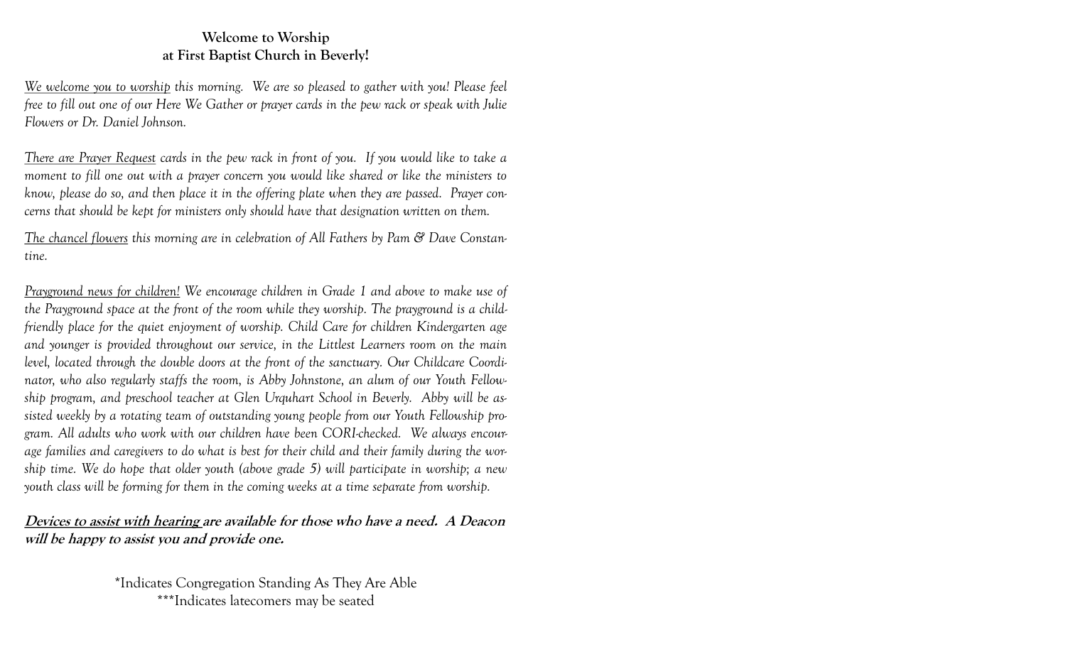### **Welcome to Worship at First Baptist Church in Beverly!**

*We welcome you to worship this morning. We are so pleased to gather with you! Please feel free to fill out one of our Here We Gather or prayer cards in the pew rack or speak with Julie Flowers or Dr. Daniel Johnson.* 

*There are Prayer Request cards in the pew rack in front of you. If you would like to take a moment to fill one out with a prayer concern you would like shared or like the ministers to know, please do so, and then place it in the offering plate when they are passed. Prayer concerns that should be kept for ministers only should have that designation written on them.*

*The chancel flowers this morning are in celebration of All Fathers by Pam & Dave Constantine.*

*Prayground news for children! We encourage children in Grade 1 and above to make use of the Prayground space at the front of the room while they worship. The prayground is a childfriendly place for the quiet enjoyment of worship. Child Care for children Kindergarten age and younger is provided throughout our service, in the Littlest Learners room on the main level, located through the double doors at the front of the sanctuary. Our Childcare Coordinator, who also regularly staffs the room, is Abby Johnstone, an alum of our Youth Fellowship program, and preschool teacher at Glen Urquhart School in Beverly. Abby will be assisted weekly by a rotating team of outstanding young people from our Youth Fellowship program. All adults who work with our children have been CORI-checked. We always encourage families and caregivers to do what is best for their child and their family during the worship time. We do hope that older youth (above grade 5) will participate in worship; a new youth class will be forming for them in the coming weeks at a time separate from worship.*

### **Devices to assist with hearing are available for those who have a need. A Deacon will be happy to assist you and provide one.**

\*Indicates Congregation Standing As They Are Able \*\*\*Indicates latecomers may be seated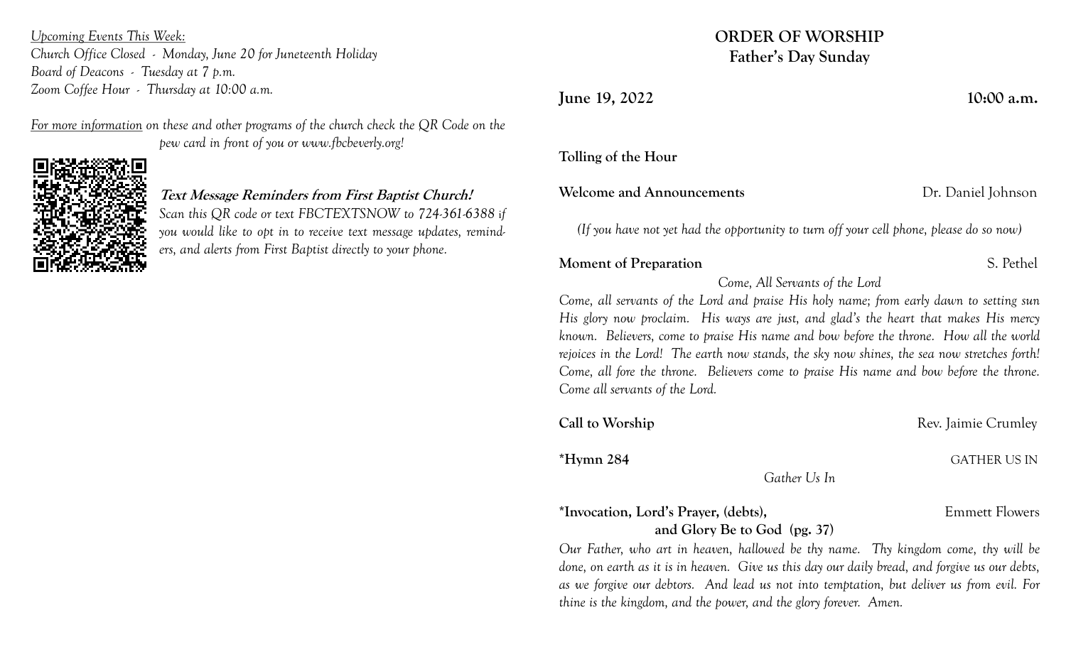*Upcoming Events This Week:*   *Board of Deacons - Tuesday at 7 p.m. Church Office Closed - Monday, June 20 for Juneteenth Holiday Zoom Coffee Hour - Thursday at 10:00 a.m.*

*For more information on these and other programs of the church check the QR Code on the pew card in front of you or www.fbcbeverly.org!*



**Text Message Reminders from First Baptist Church!** *Scan this QR code or text FBCTEXTSNOW to 724-361-6388* i*f you would like to opt in to receive text message updates, reminders, and alerts from First Baptist directly to your phone.*

# **ORDER OF WORSHIP** Father's Day Sunday

**June 19, 2022** 10:00 a.m.

#### **Tolling of the Hour**

**Welcome and Announcements** Dr. Daniel Johnson

*(If you have not yet had the opportunity to turn off your cell phone, please do so now)*

**Moment of Preparation** S. Pethel

*Come, All Servants of the Lord*

*Come, all servants of the Lord and praise His holy name; from early dawn to setting sun*  His glory now proclaim. His ways are just, and glad's the heart that makes His mercy *known. Believers, come to praise His name and bow before the throne. How all the world rejoices in the Lord! The earth now stands, the sky now shines, the sea now stretches forth! Come, all fore the throne. Believers come to praise His name and bow before the throne. Come all servants of the Lord.*

|  | Call to Worship |  |
|--|-----------------|--|
|--|-----------------|--|

**Rev.** Jaimie Crumley

**\*Hymn 284** GATHER US IN

*Gather Us In*

\*Invocation, Lord's Prayer, (debts), **Emmett Flowers and Glory Be to God (pg. 37**)

*Our Father, who art in heaven, hallowed be thy name. Thy kingdom come, thy will be done, on earth as it is in heaven. Give us this day our daily bread, and forgive us our debts, as we forgive our debtors. And lead us not into temptation, but deliver us from evil. For thine is the kingdom, and the power, and the glory forever. Amen.*